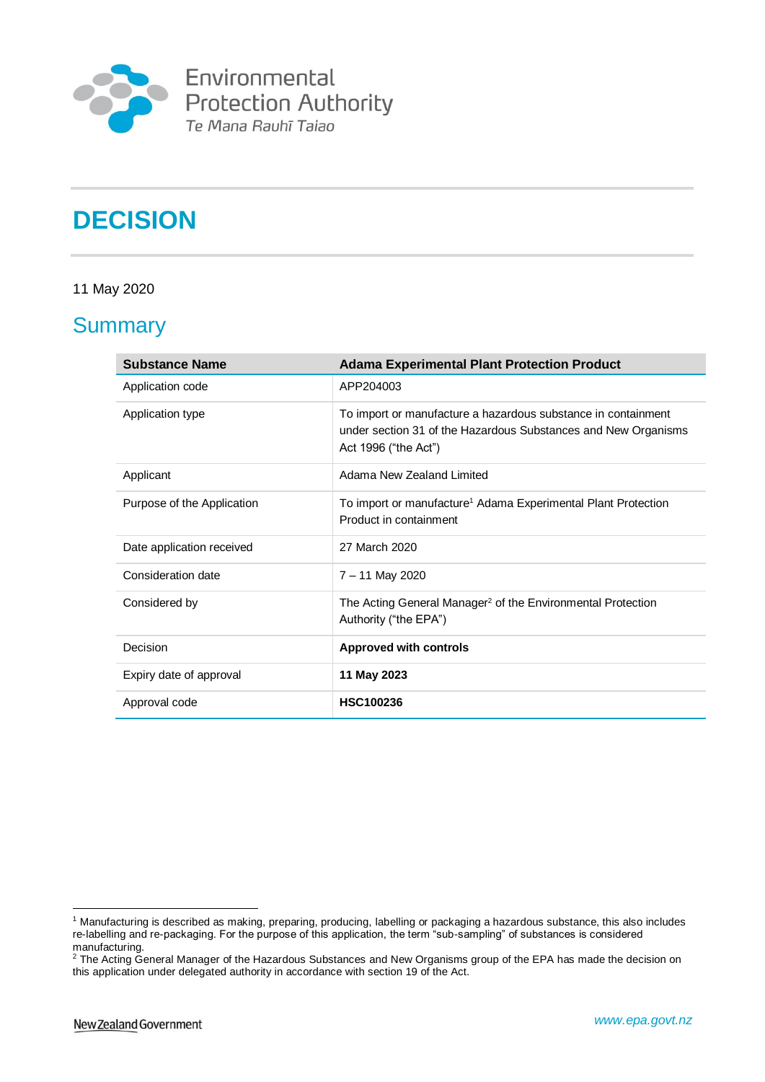

**Environmental<br>Protection Authority**<br>Te Mana Rauhī Taiao

# **DECISION**

### 11 May 2020

### **Summary**

| <b>Substance Name</b>      | <b>Adama Experimental Plant Protection Product</b>                                                                                                      |
|----------------------------|---------------------------------------------------------------------------------------------------------------------------------------------------------|
| Application code           | APP204003                                                                                                                                               |
| Application type           | To import or manufacture a hazardous substance in containment<br>under section 31 of the Hazardous Substances and New Organisms<br>Act 1996 ("the Act") |
| Applicant                  | Adama New Zealand Limited                                                                                                                               |
| Purpose of the Application | To import or manufacture <sup>1</sup> Adama Experimental Plant Protection<br>Product in containment                                                     |
| Date application received  | 27 March 2020                                                                                                                                           |
| Consideration date         | 7 - 11 May 2020                                                                                                                                         |
| Considered by              | The Acting General Manager <sup>2</sup> of the Environmental Protection<br>Authority ("the EPA")                                                        |
| Decision                   | <b>Approved with controls</b>                                                                                                                           |
| Expiry date of approval    | 11 May 2023                                                                                                                                             |
| Approval code              | <b>HSC100236</b>                                                                                                                                        |

<sup>&</sup>lt;u>.</u> <sup>1</sup> Manufacturing is described as making, preparing, producing, labelling or packaging a hazardous substance, this also includes re-labelling and re-packaging. For the purpose of this application, the term "sub-sampling" of substances is considered manufacturing.

<sup>&</sup>lt;sup>2</sup> The Acting General Manager of the Hazardous Substances and New Organisms group of the EPA has made the decision on this application under delegated authority in accordance with section 19 of the Act.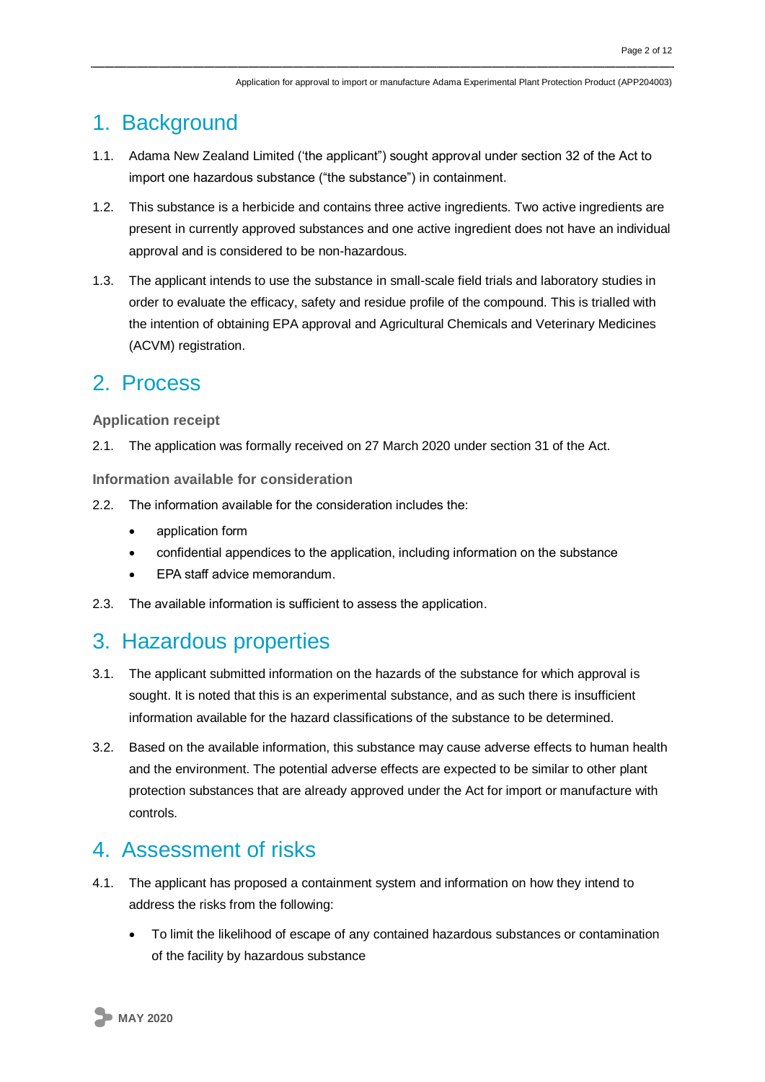## 1. Background

- 1.1. Adama New Zealand Limited ('the applicant") sought approval under section 32 of the Act to import one hazardous substance ("the substance") in containment.
- 1.2. This substance is a herbicide and contains three active ingredients. Two active ingredients are present in currently approved substances and one active ingredient does not have an individual approval and is considered to be non-hazardous.
- 1.3. The applicant intends to use the substance in small-scale field trials and laboratory studies in order to evaluate the efficacy, safety and residue profile of the compound. This is trialled with the intention of obtaining EPA approval and Agricultural Chemicals and Veterinary Medicines (ACVM) registration.

### 2. Process

### **Application receipt**

2.1. The application was formally received on 27 March 2020 under section 31 of the Act.

**Information available for consideration**

- 2.2. The information available for the consideration includes the:
	- application form
	- confidential appendices to the application, including information on the substance
	- EPA staff advice memorandum.
- 2.3. The available information is sufficient to assess the application.

### 3. Hazardous properties

- 3.1. The applicant submitted information on the hazards of the substance for which approval is sought. It is noted that this is an experimental substance, and as such there is insufficient information available for the hazard classifications of the substance to be determined.
- 3.2. Based on the available information, this substance may cause adverse effects to human health and the environment. The potential adverse effects are expected to be similar to other plant protection substances that are already approved under the Act for import or manufacture with controls.

### 4. Assessment of risks

- 4.1. The applicant has proposed a containment system and information on how they intend to address the risks from the following:
	- To limit the likelihood of escape of any contained hazardous substances or contamination of the facility by hazardous substance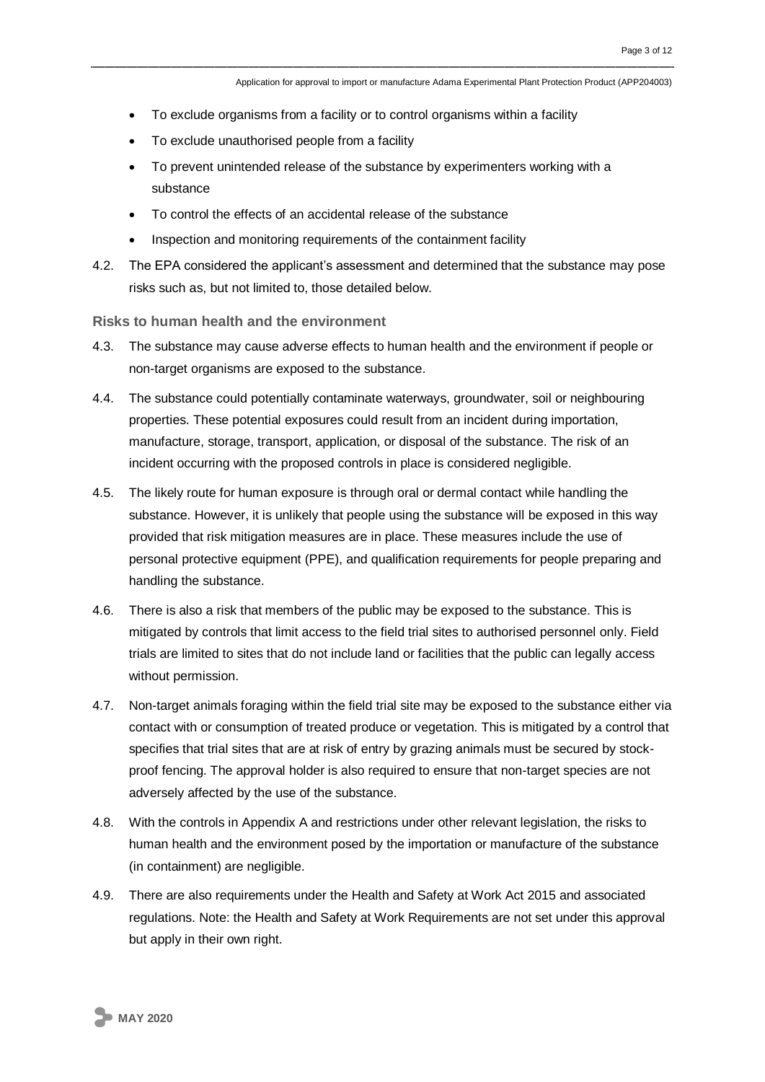- To exclude organisms from a facility or to control organisms within a facility
- To exclude unauthorised people from a facility
- To prevent unintended release of the substance by experimenters working with a substance
- To control the effects of an accidental release of the substance
- Inspection and monitoring requirements of the containment facility
- 4.2. The EPA considered the applicant's assessment and determined that the substance may pose risks such as, but not limited to, those detailed below.

**Risks to human health and the environment**

- 4.3. The substance may cause adverse effects to human health and the environment if people or non-target organisms are exposed to the substance.
- 4.4. The substance could potentially contaminate waterways, groundwater, soil or neighbouring properties. These potential exposures could result from an incident during importation, manufacture, storage, transport, application, or disposal of the substance. The risk of an incident occurring with the proposed controls in place is considered negligible.
- 4.5. The likely route for human exposure is through oral or dermal contact while handling the substance. However, it is unlikely that people using the substance will be exposed in this way provided that risk mitigation measures are in place. These measures include the use of personal protective equipment (PPE), and qualification requirements for people preparing and handling the substance.
- 4.6. There is also a risk that members of the public may be exposed to the substance. This is mitigated by controls that limit access to the field trial sites to authorised personnel only. Field trials are limited to sites that do not include land or facilities that the public can legally access without permission.
- 4.7. Non-target animals foraging within the field trial site may be exposed to the substance either via contact with or consumption of treated produce or vegetation. This is mitigated by a control that specifies that trial sites that are at risk of entry by grazing animals must be secured by stockproof fencing. The approval holder is also required to ensure that non-target species are not adversely affected by the use of the substance.
- 4.8. With the controls in Appendix A and restrictions under other relevant legislation, the risks to human health and the environment posed by the importation or manufacture of the substance (in containment) are negligible.
- 4.9. There are also requirements under the Health and Safety at Work Act 2015 and associated regulations. Note: the Health and Safety at Work Requirements are not set under this approval but apply in their own right.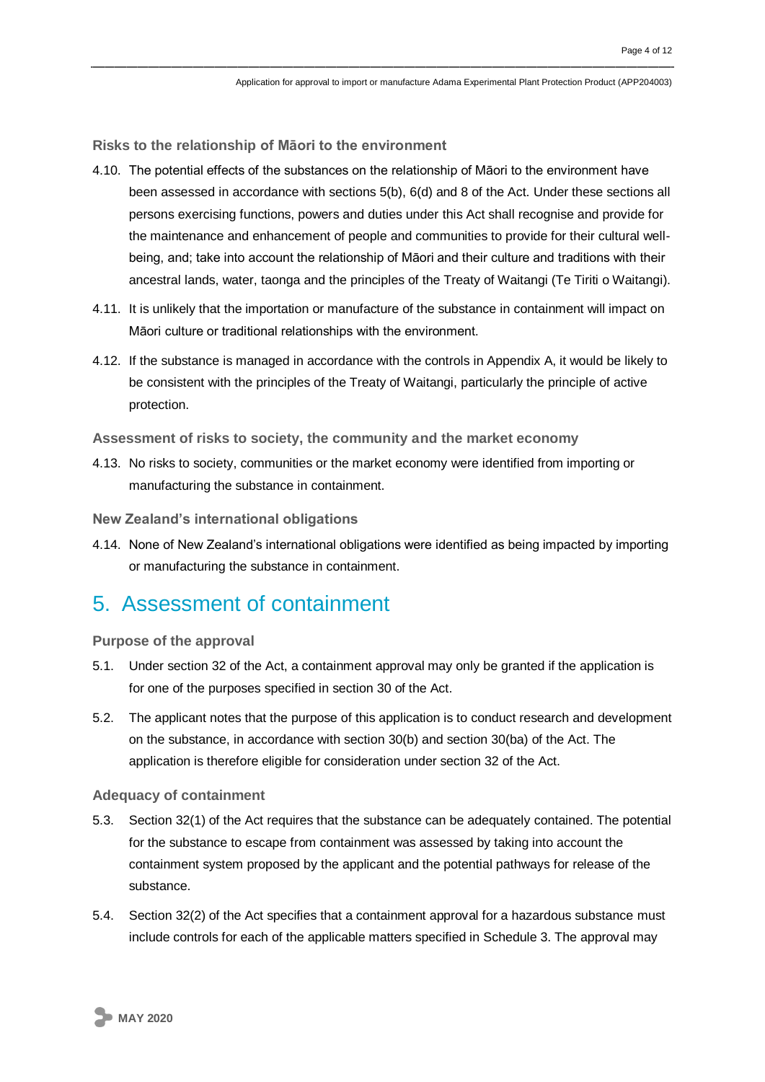**Risks to the relationship of Māori to the environment**

- 4.10. The potential effects of the substances on the relationship of Māori to the environment have been assessed in accordance with sections 5(b), 6(d) and 8 of the Act. Under these sections all persons exercising functions, powers and duties under this Act shall recognise and provide for the maintenance and enhancement of people and communities to provide for their cultural wellbeing, and; take into account the relationship of Māori and their culture and traditions with their ancestral lands, water, taonga and the principles of the Treaty of Waitangi (Te Tiriti o Waitangi).
- 4.11. It is unlikely that the importation or manufacture of the substance in containment will impact on Māori culture or traditional relationships with the environment.
- 4.12. If the substance is managed in accordance with the controls in Appendix A, it would be likely to be consistent with the principles of the Treaty of Waitangi, particularly the principle of active protection.

**Assessment of risks to society, the community and the market economy**

4.13. No risks to society, communities or the market economy were identified from importing or manufacturing the substance in containment.

**New Zealand's international obligations**

4.14. None of New Zealand's international obligations were identified as being impacted by importing or manufacturing the substance in containment.

### 5. Assessment of containment

#### **Purpose of the approval**

- 5.1. Under section 32 of the Act, a containment approval may only be granted if the application is for one of the purposes specified in section 30 of the Act.
- 5.2. The applicant notes that the purpose of this application is to conduct research and development on the substance, in accordance with section 30(b) and section 30(ba) of the Act. The application is therefore eligible for consideration under section 32 of the Act.

#### **Adequacy of containment**

- 5.3. Section 32(1) of the Act requires that the substance can be adequately contained. The potential for the substance to escape from containment was assessed by taking into account the containment system proposed by the applicant and the potential pathways for release of the substance.
- 5.4. Section 32(2) of the Act specifies that a containment approval for a hazardous substance must include controls for each of the applicable matters specified in Schedule 3. The approval may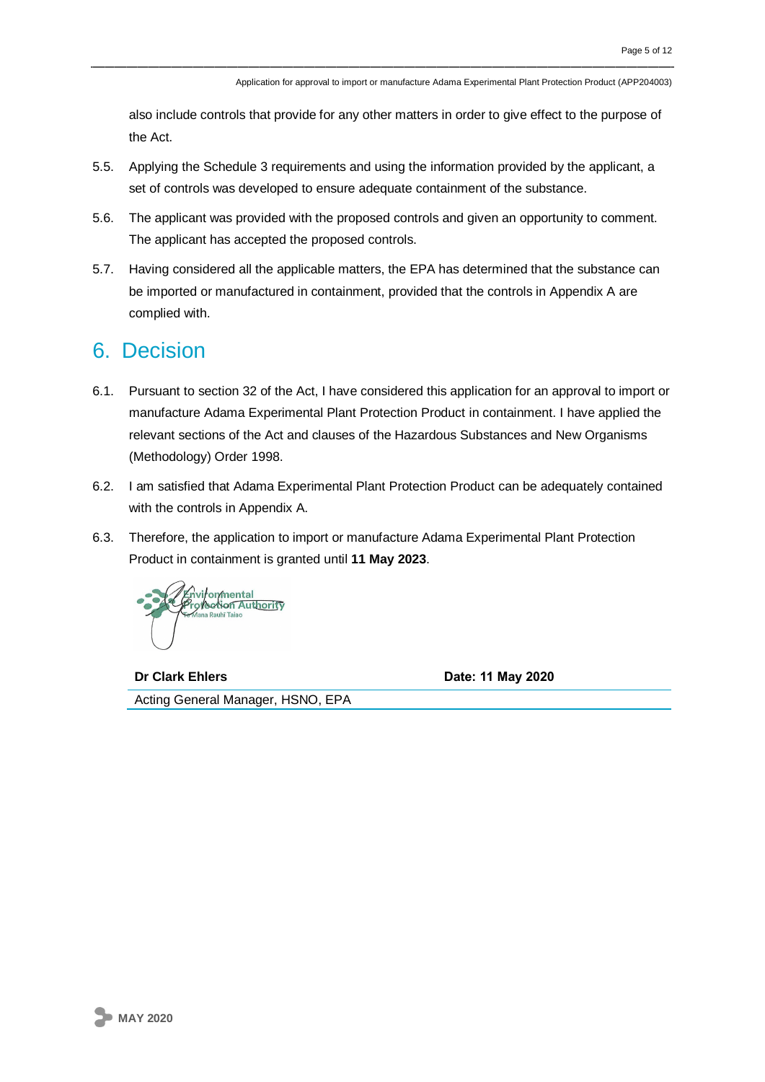also include controls that provide for any other matters in order to give effect to the purpose of the Act.

- 5.5. Applying the Schedule 3 requirements and using the information provided by the applicant, a set of controls was developed to ensure adequate containment of the substance.
- 5.6. The applicant was provided with the proposed controls and given an opportunity to comment. The applicant has accepted the proposed controls.
- 5.7. Having considered all the applicable matters, the EPA has determined that the substance can be imported or manufactured in containment, provided that the controls in Appendix A are complied with.

### 6. Decision

- 6.1. Pursuant to section 32 of the Act, I have considered this application for an approval to import or manufacture Adama Experimental Plant Protection Product in containment. I have applied the relevant sections of the Act and clauses of the Hazardous Substances and New Organisms (Methodology) Order 1998.
- 6.2. I am satisfied that Adama Experimental Plant Protection Product can be adequately contained with the controls in Appendix A.
- 6.3. Therefore, the application to import or manufacture Adama Experimental Plant Protection Product in containment is granted until **11 May 2023**.



**Dr Clark Ehlers Date: 11 May 2020** Acting General Manager, HSNO, EPA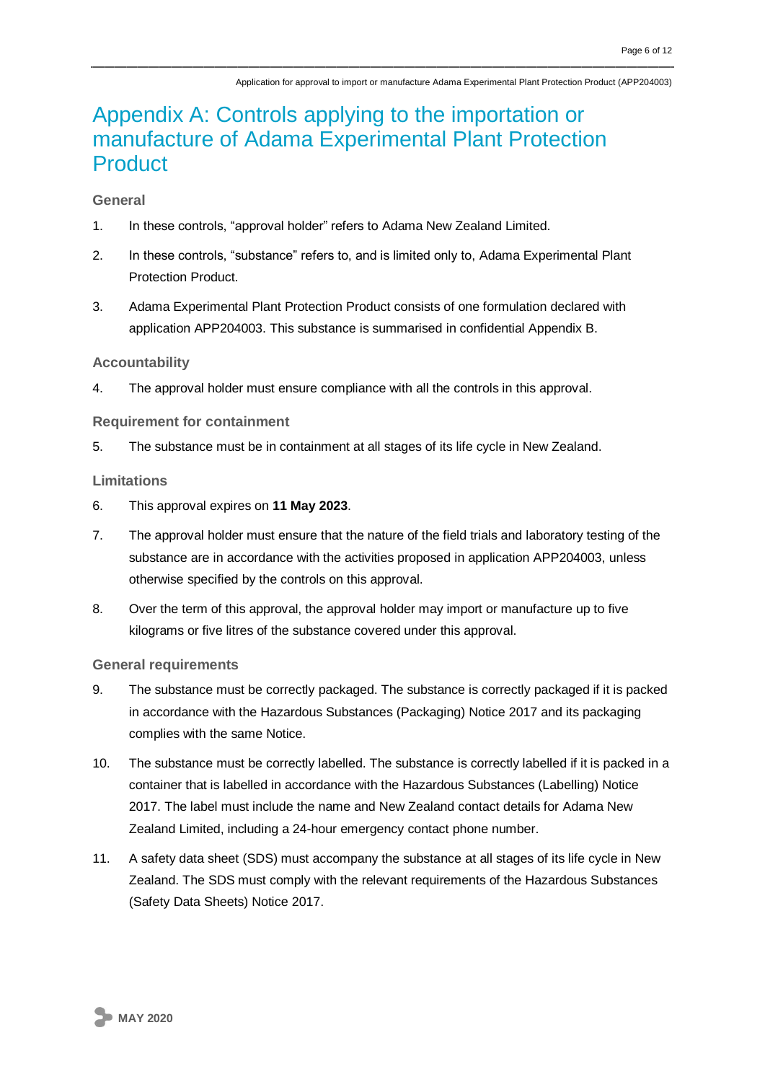# Appendix A: Controls applying to the importation or manufacture of Adama Experimental Plant Protection **Product**

### **General**

- 1. In these controls, "approval holder" refers to Adama New Zealand Limited.
- 2. In these controls, "substance" refers to, and is limited only to, Adama Experimental Plant Protection Product.
- 3. Adama Experimental Plant Protection Product consists of one formulation declared with application APP204003. This substance is summarised in confidential Appendix B.

#### **Accountability**

4. The approval holder must ensure compliance with all the controls in this approval.

#### **Requirement for containment**

5. The substance must be in containment at all stages of its life cycle in New Zealand.

#### **Limitations**

- 6. This approval expires on **11 May 2023**.
- 7. The approval holder must ensure that the nature of the field trials and laboratory testing of the substance are in accordance with the activities proposed in application APP204003, unless otherwise specified by the controls on this approval.
- 8. Over the term of this approval, the approval holder may import or manufacture up to five kilograms or five litres of the substance covered under this approval.

#### **General requirements**

- 9. The substance must be correctly packaged. The substance is correctly packaged if it is packed in accordance with the Hazardous Substances (Packaging) Notice 2017 and its packaging complies with the same Notice.
- 10. The substance must be correctly labelled. The substance is correctly labelled if it is packed in a container that is labelled in accordance with the Hazardous Substances (Labelling) Notice 2017. The label must include the name and New Zealand contact details for Adama New Zealand Limited, including a 24-hour emergency contact phone number.
- 11. A safety data sheet (SDS) must accompany the substance at all stages of its life cycle in New Zealand. The SDS must comply with the relevant requirements of the Hazardous Substances (Safety Data Sheets) Notice 2017.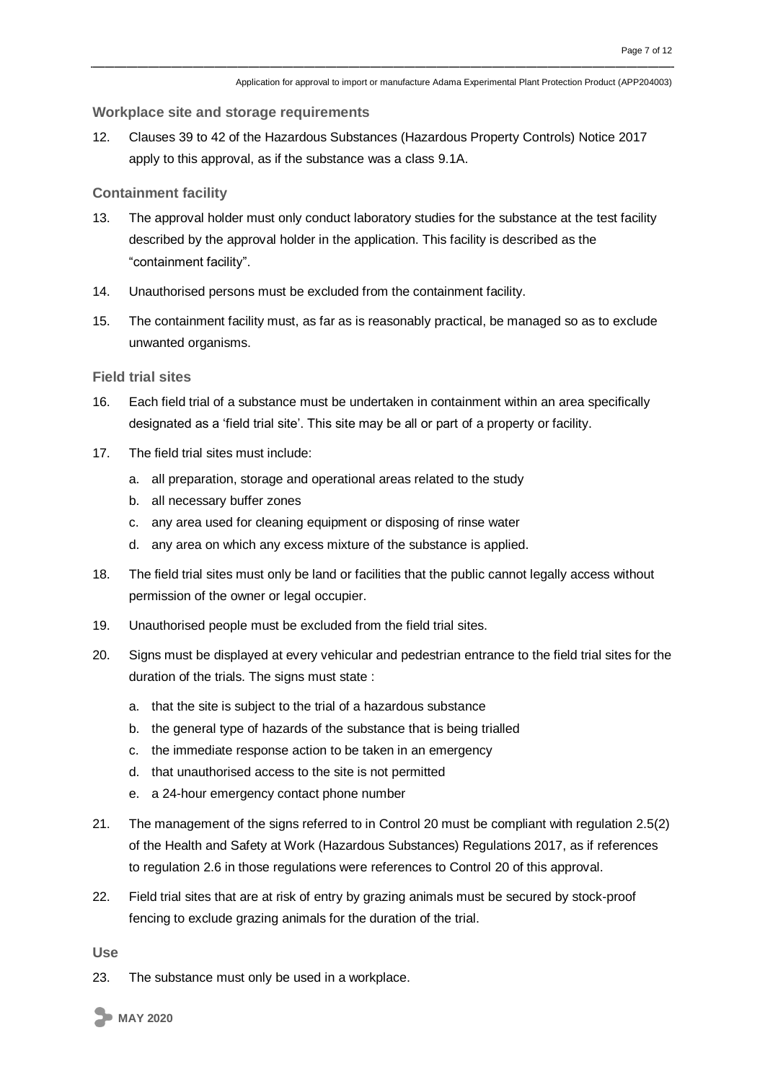#### **Workplace site and storage requirements**

12. Clauses 39 to 42 of the Hazardous Substances (Hazardous Property Controls) Notice 2017 apply to this approval, as if the substance was a class 9.1A.

#### **Containment facility**

- 13. The approval holder must only conduct laboratory studies for the substance at the test facility described by the approval holder in the application. This facility is described as the "containment facility".
- 14. Unauthorised persons must be excluded from the containment facility.
- 15. The containment facility must, as far as is reasonably practical, be managed so as to exclude unwanted organisms.

#### **Field trial sites**

- 16. Each field trial of a substance must be undertaken in containment within an area specifically designated as a 'field trial site'. This site may be all or part of a property or facility.
- 17. The field trial sites must include:
	- a. all preparation, storage and operational areas related to the study
	- b. all necessary buffer zones
	- c. any area used for cleaning equipment or disposing of rinse water
	- d. any area on which any excess mixture of the substance is applied.
- 18. The field trial sites must only be land or facilities that the public cannot legally access without permission of the owner or legal occupier.
- 19. Unauthorised people must be excluded from the field trial sites.
- 20. Signs must be displayed at every vehicular and pedestrian entrance to the field trial sites for the duration of the trials. The signs must state :
	- a. that the site is subject to the trial of a hazardous substance
	- b. the general type of hazards of the substance that is being trialled
	- c. the immediate response action to be taken in an emergency
	- d. that unauthorised access to the site is not permitted
	- e. a 24-hour emergency contact phone number
- 21. The management of the signs referred to in Control 20 must be compliant with regulation 2.5(2) of the Health and Safety at Work (Hazardous Substances) Regulations 2017, as if references to regulation 2.6 in those regulations were references to Control 20 of this approval.
- 22. Field trial sites that are at risk of entry by grazing animals must be secured by stock-proof fencing to exclude grazing animals for the duration of the trial.

**Use**

23. The substance must only be used in a workplace.

**MAY 2020**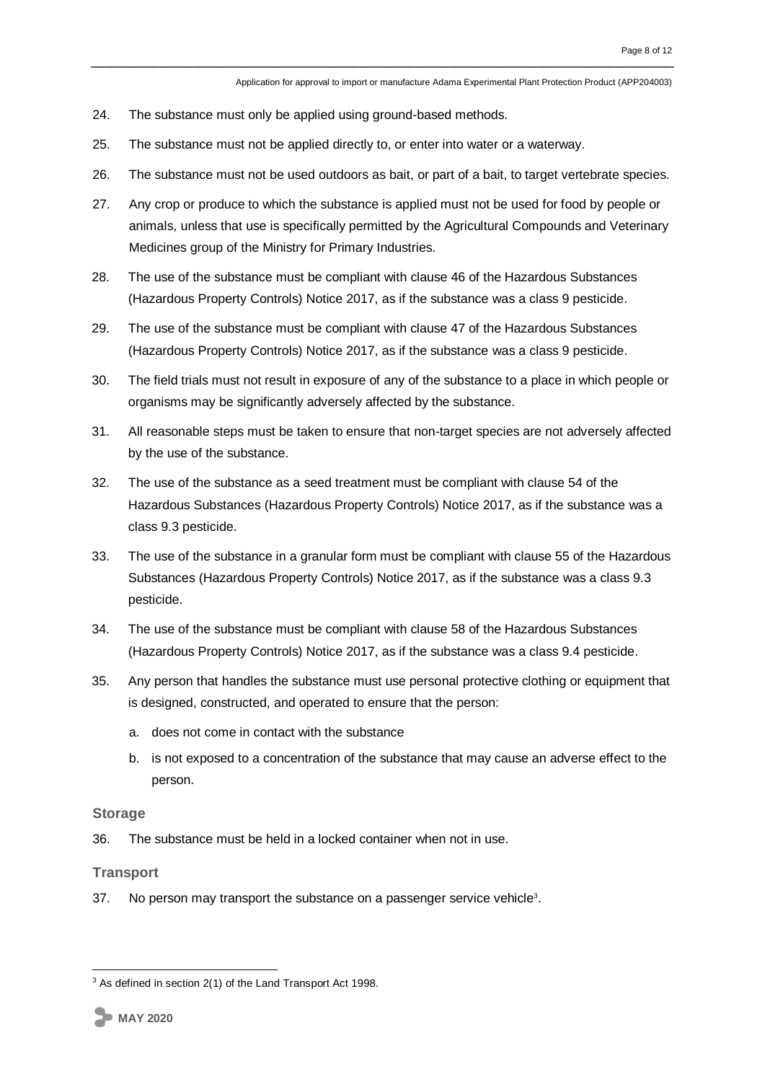- 24. The substance must only be applied using ground-based methods.
- 25. The substance must not be applied directly to, or enter into water or a waterway.
- 26. The substance must not be used outdoors as bait, or part of a bait, to target vertebrate species.
- 27. Any crop or produce to which the substance is applied must not be used for food by people or animals, unless that use is specifically permitted by the Agricultural Compounds and Veterinary Medicines group of the Ministry for Primary Industries.
- 28. The use of the substance must be compliant with clause 46 of the Hazardous Substances (Hazardous Property Controls) Notice 2017, as if the substance was a class 9 pesticide.
- 29. The use of the substance must be compliant with clause 47 of the Hazardous Substances (Hazardous Property Controls) Notice 2017, as if the substance was a class 9 pesticide.
- 30. The field trials must not result in exposure of any of the substance to a place in which people or organisms may be significantly adversely affected by the substance.
- 31. All reasonable steps must be taken to ensure that non-target species are not adversely affected by the use of the substance.
- 32. The use of the substance as a seed treatment must be compliant with clause 54 of the Hazardous Substances (Hazardous Property Controls) Notice 2017, as if the substance was a class 9.3 pesticide.
- 33. The use of the substance in a granular form must be compliant with clause 55 of the Hazardous Substances (Hazardous Property Controls) Notice 2017, as if the substance was a class 9.3 pesticide.
- 34. The use of the substance must be compliant with clause 58 of the Hazardous Substances (Hazardous Property Controls) Notice 2017, as if the substance was a class 9.4 pesticide.
- 35. Any person that handles the substance must use personal protective clothing or equipment that is designed, constructed, and operated to ensure that the person:
	- a. does not come in contact with the substance
	- b. is not exposed to a concentration of the substance that may cause an adverse effect to the person.

#### **Storage**

36. The substance must be held in a locked container when not in use.

#### **Transport**

37. No person may transport the substance on a passenger service vehicle<sup>3</sup>.

1

 $3$  As defined in section 2(1) of the Land Transport Act 1998.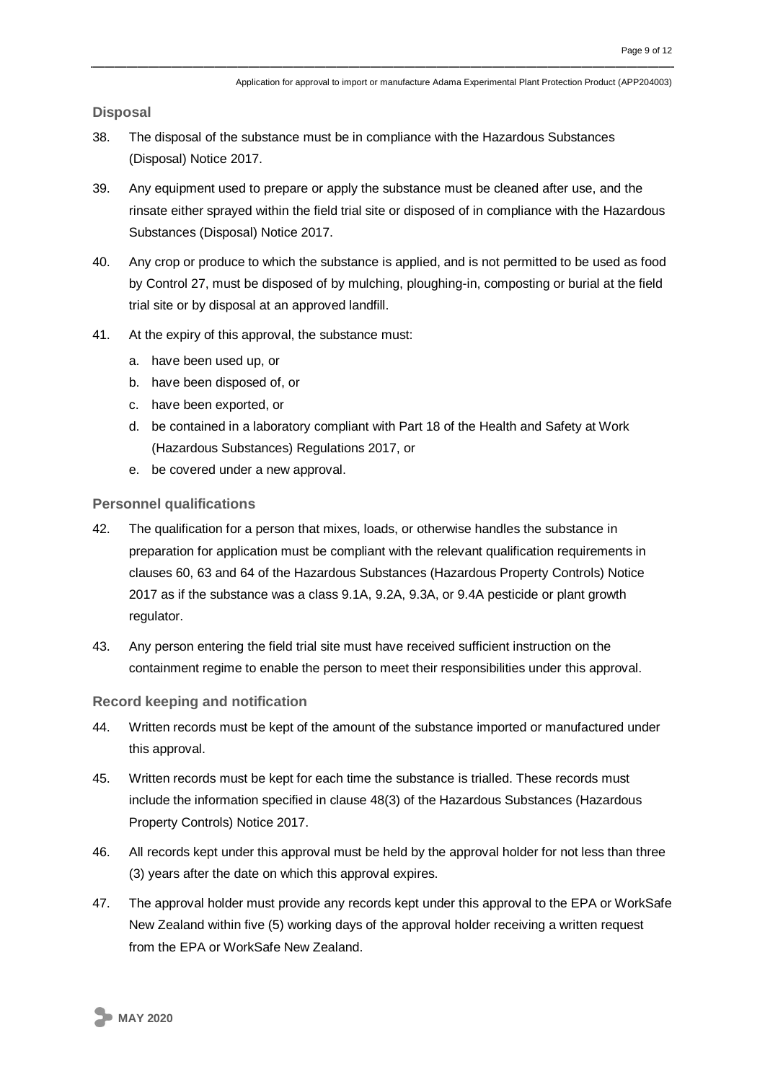**Disposal**

- 38. The disposal of the substance must be in compliance with the Hazardous Substances (Disposal) Notice 2017.
- 39. Any equipment used to prepare or apply the substance must be cleaned after use, and the rinsate either sprayed within the field trial site or disposed of in compliance with the Hazardous Substances (Disposal) Notice 2017.
- 40. Any crop or produce to which the substance is applied, and is not permitted to be used as food by Control 27, must be disposed of by mulching, ploughing-in, composting or burial at the field trial site or by disposal at an approved landfill.
- 41. At the expiry of this approval, the substance must:
	- a. have been used up, or
	- b. have been disposed of, or
	- c. have been exported, or
	- d. be contained in a laboratory compliant with Part 18 of the Health and Safety at Work (Hazardous Substances) Regulations 2017, or
	- e. be covered under a new approval.

**Personnel qualifications**

- 42. The qualification for a person that mixes, loads, or otherwise handles the substance in preparation for application must be compliant with the relevant qualification requirements in clauses 60, 63 and 64 of the Hazardous Substances (Hazardous Property Controls) Notice 2017 as if the substance was a class 9.1A, 9.2A, 9.3A, or 9.4A pesticide or plant growth regulator.
- 43. Any person entering the field trial site must have received sufficient instruction on the containment regime to enable the person to meet their responsibilities under this approval.

#### **Record keeping and notification**

- 44. Written records must be kept of the amount of the substance imported or manufactured under this approval.
- 45. Written records must be kept for each time the substance is trialled. These records must include the information specified in clause 48(3) of the Hazardous Substances (Hazardous Property Controls) Notice 2017.
- 46. All records kept under this approval must be held by the approval holder for not less than three (3) years after the date on which this approval expires.
- 47. The approval holder must provide any records kept under this approval to the EPA or WorkSafe New Zealand within five (5) working days of the approval holder receiving a written request from the EPA or WorkSafe New Zealand.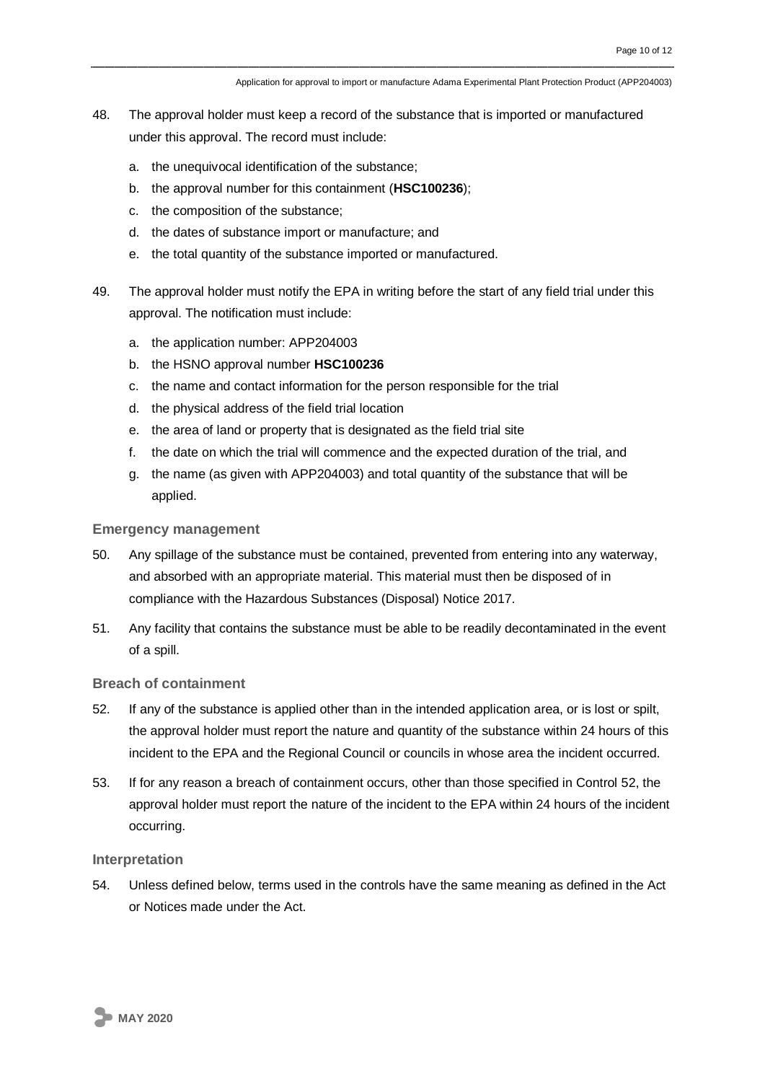Application for approval to import or manufacture Adama Experimental Plant Protection Product (APP204003)

- 48. The approval holder must keep a record of the substance that is imported or manufactured under this approval. The record must include:
	- a. the unequivocal identification of the substance;
	- b. the approval number for this containment (**HSC100236**);
	- c. the composition of the substance;
	- d. the dates of substance import or manufacture; and
	- e. the total quantity of the substance imported or manufactured.
- 49. The approval holder must notify the EPA in writing before the start of any field trial under this approval. The notification must include:
	- a. the application number: APP204003
	- b. the HSNO approval number **HSC100236**
	- c. the name and contact information for the person responsible for the trial
	- d. the physical address of the field trial location
	- e. the area of land or property that is designated as the field trial site
	- f. the date on which the trial will commence and the expected duration of the trial, and
	- g. the name (as given with APP204003) and total quantity of the substance that will be applied.

#### **Emergency management**

- 50. Any spillage of the substance must be contained, prevented from entering into any waterway, and absorbed with an appropriate material. This material must then be disposed of in compliance with the Hazardous Substances (Disposal) Notice 2017.
- 51. Any facility that contains the substance must be able to be readily decontaminated in the event of a spill.

#### **Breach of containment**

- 52. If any of the substance is applied other than in the intended application area, or is lost or spilt, the approval holder must report the nature and quantity of the substance within 24 hours of this incident to the EPA and the Regional Council or councils in whose area the incident occurred.
- 53. If for any reason a breach of containment occurs, other than those specified in Control 52, the approval holder must report the nature of the incident to the EPA within 24 hours of the incident occurring.

#### **Interpretation**

54. Unless defined below, terms used in the controls have the same meaning as defined in the Act or Notices made under the Act.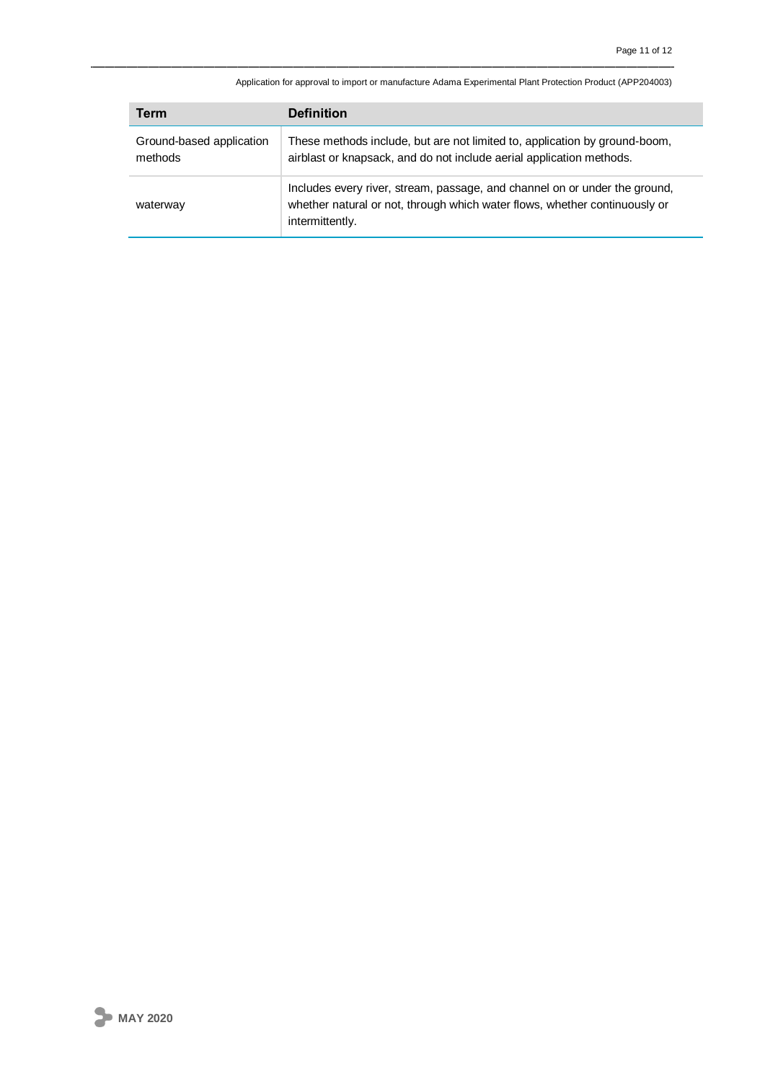Application for approval to import or manufacture Adama Experimental Plant Protection Product (APP204003)

| Term                                | <b>Definition</b>                                                                                                                                                           |
|-------------------------------------|-----------------------------------------------------------------------------------------------------------------------------------------------------------------------------|
| Ground-based application<br>methods | These methods include, but are not limited to, application by ground-boom,<br>airblast or knapsack, and do not include aerial application methods.                          |
| waterway                            | Includes every river, stream, passage, and channel on or under the ground,<br>whether natural or not, through which water flows, whether continuously or<br>intermittently. |